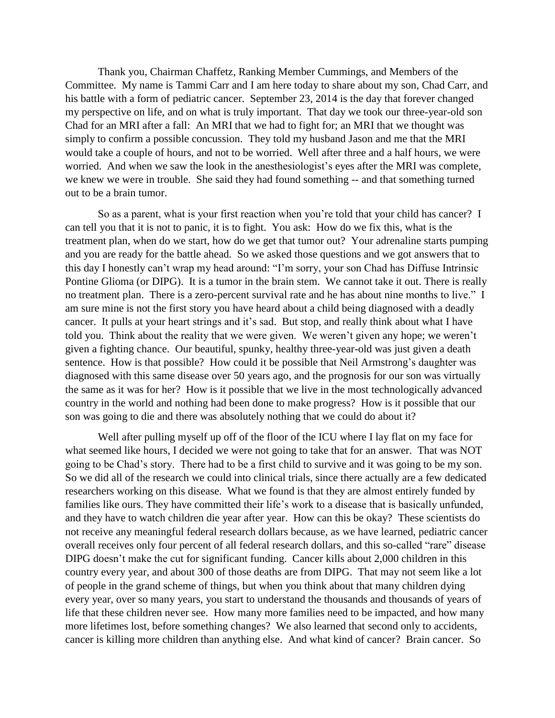Thank you, Chairman Chaffetz, Ranking Member Cummings, and Members of the Committee. My name is Tammi Carr and I am here today to share about my son, Chad Carr, and his battle with a form of pediatric cancer. September 23, 2014 is the day that forever changed my perspective on life, and on what is truly important. That day we took our three-year-old son Chad for an MRI after a fall: An MRI that we had to fight for; an MRI that we thought was simply to confirm a possible concussion. They told my husband Jason and me that the MRI would take a couple of hours, and not to be worried. Well after three and a half hours, we were worried. And when we saw the look in the anesthesiologist's eyes after the MRI was complete, we knew we were in trouble. She said they had found something -- and that something turned out to be a brain tumor.

So as a parent, what is your first reaction when you're told that your child has cancer? I can tell you that it is not to panic, it is to fight. You ask: How do we fix this, what is the treatment plan, when do we start, how do we get that tumor out? Your adrenaline starts pumping and you are ready for the battle ahead. So we asked those questions and we got answers that to this day I honestly can't wrap my head around: "I'm sorry, your son Chad has Diffuse Intrinsic Pontine Glioma (or DIPG). It is a tumor in the brain stem. We cannot take it out. There is really no treatment plan. There is a zero-percent survival rate and he has about nine months to live." I am sure mine is not the first story you have heard about a child being diagnosed with a deadly cancer. It pulls at your heart strings and it's sad. But stop, and really think about what I have told you. Think about the reality that we were given. We weren't given any hope; we weren't given a fighting chance. Our beautiful, spunky, healthy three-year-old was just given a death sentence. How is that possible? How could it be possible that Neil Armstrong's daughter was diagnosed with this same disease over 50 years ago, and the prognosis for our son was virtually the same as it was for her? How is it possible that we live in the most technologically advanced country in the world and nothing had been done to make progress? How is it possible that our son was going to die and there was absolutely nothing that we could do about it?

Well after pulling myself up off of the floor of the ICU where I lay flat on my face for what seemed like hours, I decided we were not going to take that for an answer. That was NOT going to be Chad's story. There had to be a first child to survive and it was going to be my son. So we did all of the research we could into clinical trials, since there actually are a few dedicated researchers working on this disease. What we found is that they are almost entirely funded by families like ours. They have committed their life's work to a disease that is basically unfunded, and they have to watch children die year after year. How can this be okay? These scientists do not receive any meaningful federal research dollars because, as we have learned, pediatric cancer overall receives only four percent of all federal research dollars, and this so-called "rare" disease DIPG doesn't make the cut for significant funding. Cancer kills about 2,000 children in this country every year, and about 300 of those deaths are from DIPG. That may not seem like a lot of people in the grand scheme of things, but when you think about that many children dying every year, over so many years, you start to understand the thousands and thousands of years of life that these children never see. How many more families need to be impacted, and how many more lifetimes lost, before something changes? We also learned that second only to accidents, cancer is killing more children than anything else. And what kind of cancer? Brain cancer. So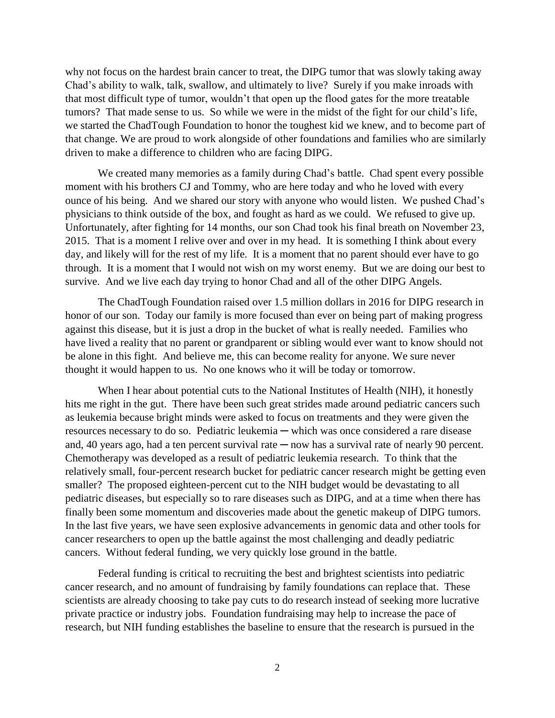why not focus on the hardest brain cancer to treat, the DIPG tumor that was slowly taking away Chad's ability to walk, talk, swallow, and ultimately to live? Surely if you make inroads with that most difficult type of tumor, wouldn't that open up the flood gates for the more treatable tumors? That made sense to us. So while we were in the midst of the fight for our child's life, we started the ChadTough Foundation to honor the toughest kid we knew, and to become part of that change. We are proud to work alongside of other foundations and families who are similarly driven to make a difference to children who are facing DIPG.

We created many memories as a family during Chad's battle. Chad spent every possible moment with his brothers CJ and Tommy, who are here today and who he loved with every ounce of his being. And we shared our story with anyone who would listen. We pushed Chad's physicians to think outside of the box, and fought as hard as we could. We refused to give up. Unfortunately, after fighting for 14 months, our son Chad took his final breath on November 23, 2015. That is a moment I relive over and over in my head. It is something I think about every day, and likely will for the rest of my life. It is a moment that no parent should ever have to go through. It is a moment that I would not wish on my worst enemy. But we are doing our best to survive. And we live each day trying to honor Chad and all of the other DIPG Angels.

The ChadTough Foundation raised over 1.5 million dollars in 2016 for DIPG research in honor of our son. Today our family is more focused than ever on being part of making progress against this disease, but it is just a drop in the bucket of what is really needed. Families who have lived a reality that no parent or grandparent or sibling would ever want to know should not be alone in this fight. And believe me, this can become reality for anyone. We sure never thought it would happen to us. No one knows who it will be today or tomorrow.

When I hear about potential cuts to the National Institutes of Health (NIH), it honestly hits me right in the gut. There have been such great strides made around pediatric cancers such as leukemia because bright minds were asked to focus on treatments and they were given the resources necessary to do so. Pediatric leukemia — which was once considered a rare disease and, 40 years ago, had a ten percent survival rate  $-$  now has a survival rate of nearly 90 percent. Chemotherapy was developed as a result of pediatric leukemia research. To think that the relatively small, four-percent research bucket for pediatric cancer research might be getting even smaller? The proposed eighteen-percent cut to the NIH budget would be devastating to all pediatric diseases, but especially so to rare diseases such as DIPG, and at a time when there has finally been some momentum and discoveries made about the genetic makeup of DIPG tumors. In the last five years, we have seen explosive advancements in genomic data and other tools for cancer researchers to open up the battle against the most challenging and deadly pediatric cancers. Without federal funding, we very quickly lose ground in the battle.

Federal funding is critical to recruiting the best and brightest scientists into pediatric cancer research, and no amount of fundraising by family foundations can replace that. These scientists are already choosing to take pay cuts to do research instead of seeking more lucrative private practice or industry jobs. Foundation fundraising may help to increase the pace of research, but NIH funding establishes the baseline to ensure that the research is pursued in the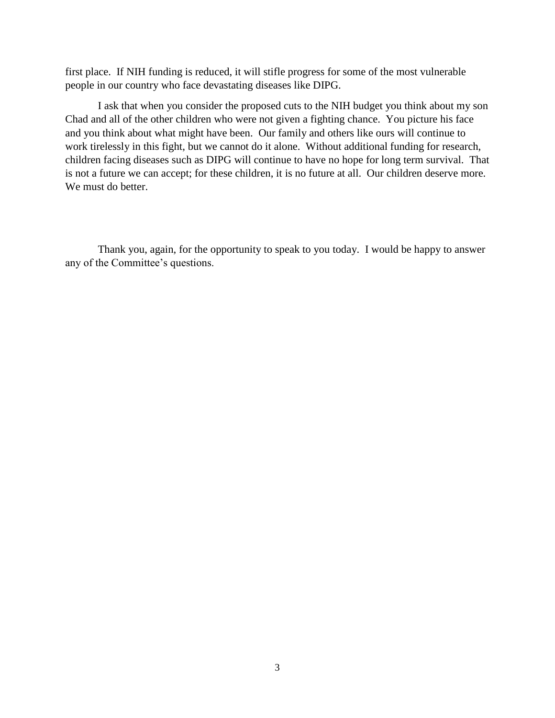first place. If NIH funding is reduced, it will stifle progress for some of the most vulnerable people in our country who face devastating diseases like DIPG.

I ask that when you consider the proposed cuts to the NIH budget you think about my son Chad and all of the other children who were not given a fighting chance. You picture his face and you think about what might have been. Our family and others like ours will continue to work tirelessly in this fight, but we cannot do it alone. Without additional funding for research, children facing diseases such as DIPG will continue to have no hope for long term survival. That is not a future we can accept; for these children, it is no future at all. Our children deserve more. We must do better.

Thank you, again, for the opportunity to speak to you today. I would be happy to answer any of the Committee's questions.